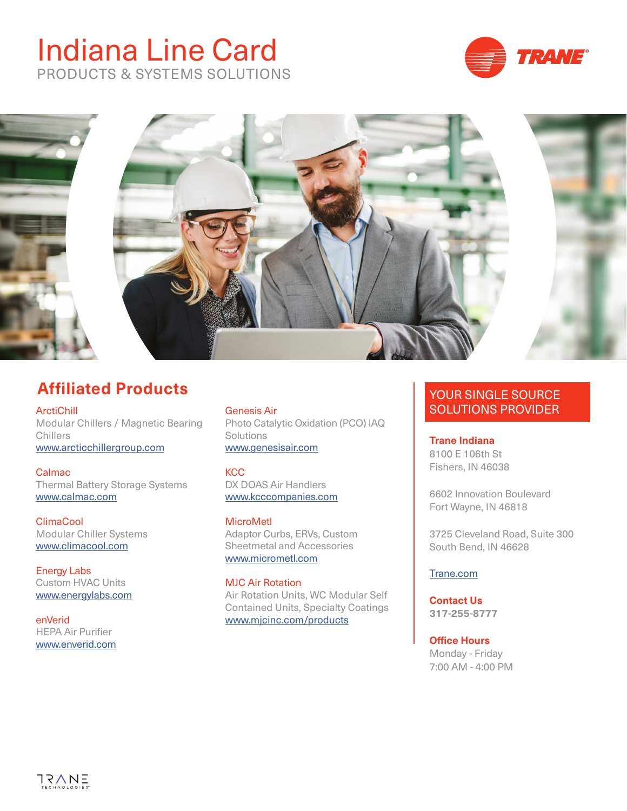# Indiana Line Card PRODUCTS & SYSTEMS SOLUTIONS





# **Affiliated Products**

**ArctiChill** Modular Chillers / Magnetic Bearing Chillers [www.arcticchillergroup.com](https://www.arcticchillergroup.com/)

**Calmac** Thermal Battery Storage Systems [www.calmac.com](http://www.calmac.com/)

ClimaCool Modular Chiller Systems [www.c](https://climacoolcorp.com/)limacool.com

Energy Labs Custom HVAC Units [www.en](http://www.energylabs.com/web2/index.html)ergylabs.com

enVerid HEPA Air Purifier www.enverid.com

Genesis Air Photo Catalytic Oxidation (PCO) IAQ **Solutions** www.genesisair.com

**KCC** DX DOAS Air Handlers [www.k](https://www.kcccompanies.com/)cccompanies.com

**MicroMetl** Adaptor Curbs, ERVs, Custom Sheetmetal and Accessories [www.micrometl.com](https://www.micrometl.com/)

MJC Air Rotation Air Rotation Units, WC Modular Self Contained Units, Specialty Coatings www.mjcinc.com/products

### YOUR SINGLE SOURCE SOLUTIONS PROVIDER

**Trane Indiana** 8100 E 106th St Fishers, IN 46038

6602 Innovation Boulevard Fort Wayne, IN 46818

3725 Cleveland Road, Suite 300 South Bend, IN 46628

#### [Trane.com](https://www.trane.com/commercial/north-america/us/en/contact-us/locate-sales-offices/indianapolis.html)

**Contact Us 317-255-8777**

**Office Hours** Monday - Friday 7:00 AM - 4:00 PM